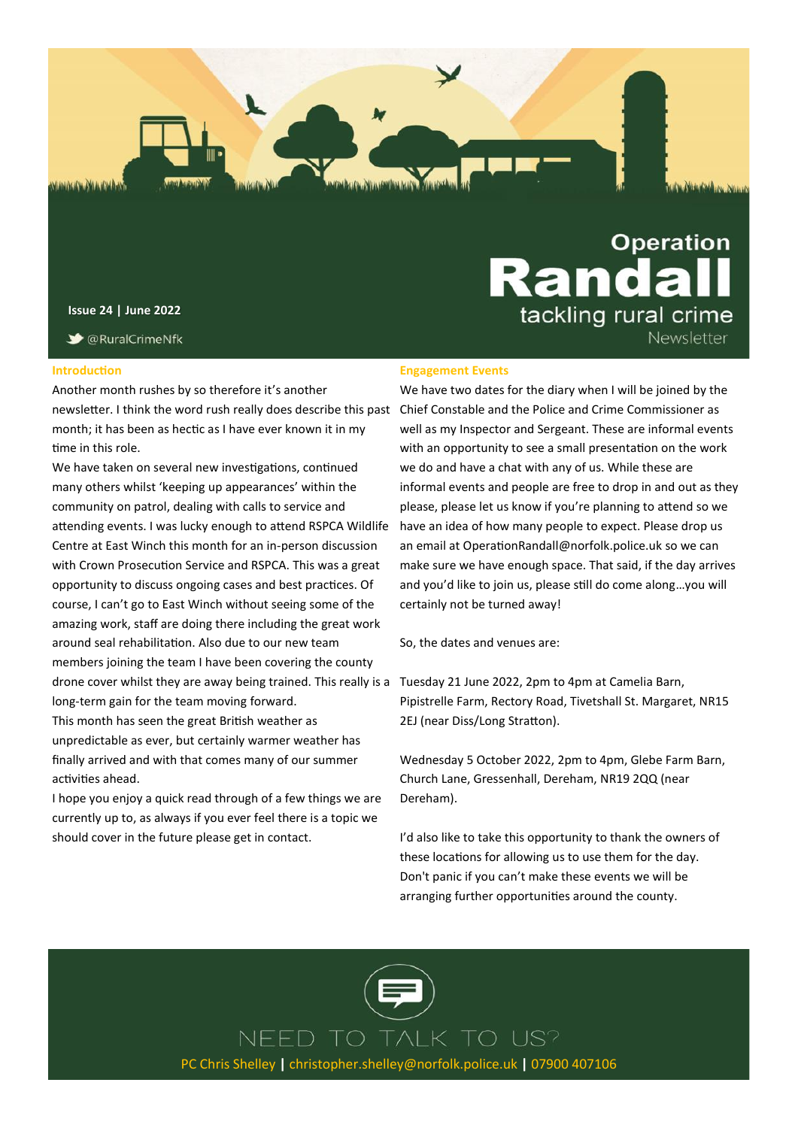

**Issue 24 | June 2022**

**◆ @RuralCrimeNfk** 

#### **Introduction**

Another month rushes by so therefore it's another newsletter. I think the word rush really does describe this past Chief Constable and the Police and Crime Commissioner as month; it has been as hectic as I have ever known it in my time in this role.

We have taken on several new investigations, continued many others whilst 'keeping up appearances' within the community on patrol, dealing with calls to service and attending events. I was lucky enough to attend RSPCA Wildlife Centre at East Winch this month for an in-person discussion with Crown Prosecution Service and RSPCA. This was a great opportunity to discuss ongoing cases and best practices. Of course, I can't go to East Winch without seeing some of the amazing work, staff are doing there including the great work around seal rehabilitation. Also due to our new team members joining the team I have been covering the county drone cover whilst they are away being trained. This really is a Tuesday 21 June 2022, 2pm to 4pm at Camelia Barn, long-term gain for the team moving forward.

This month has seen the great British weather as unpredictable as ever, but certainly warmer weather has finally arrived and with that comes many of our summer activities ahead.

I hope you enjoy a quick read through of a few things we are currently up to, as always if you ever feel there is a topic we should cover in the future please get in contact.

#### **Engagement Events**

We have two dates for the diary when I will be joined by the well as my Inspector and Sergeant. These are informal events with an opportunity to see a small presentation on the work we do and have a chat with any of us. While these are informal events and people are free to drop in and out as they please, please let us know if you're planning to attend so we have an idea of how many people to expect. Please drop us an email at OperationRandall@norfolk.police.uk so we can make sure we have enough space. That said, if the day arrives and you'd like to join us, please still do come along…you will certainly not be turned away!

**Randa** 

tackling rural crime

Newsletter

So, the dates and venues are:

Pipistrelle Farm, Rectory Road, Tivetshall St. Margaret, NR15 2EJ (near Diss/Long Stratton).

Wednesday 5 October 2022, 2pm to 4pm, Glebe Farm Barn, Church Lane, Gressenhall, Dereham, NR19 2QQ (near Dereham).

I'd also like to take this opportunity to thank the owners of these locations for allowing us to use them for the day. Don't panic if you can't make these events we will be arranging further opportunities around the county.



NEED TO TALK TO US? PC Chris Shelley **|** christopher.shelley@norfolk.police.uk **|** 07900 407106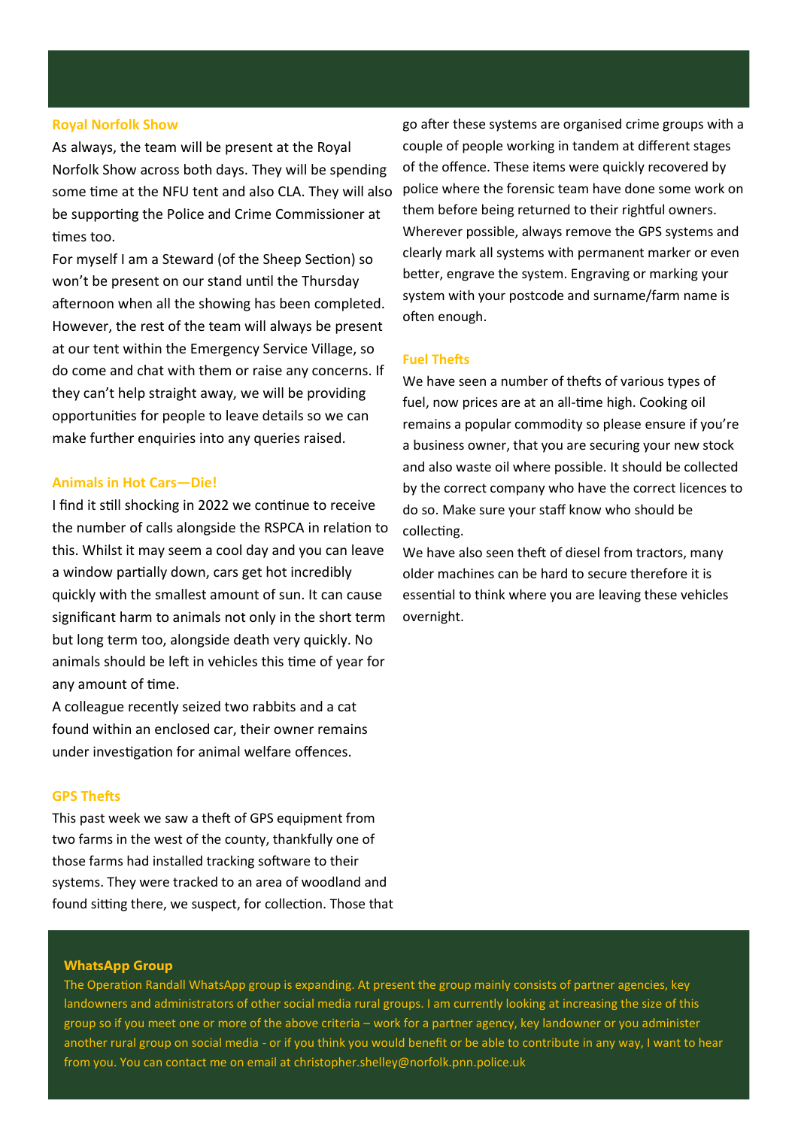#### **Royal Norfolk Show**

As always, the team will be present at the Royal Norfolk Show across both days. They will be spending some time at the NFU tent and also CLA. They will also be supporting the Police and Crime Commissioner at times too.

For myself I am a Steward (of the Sheep Section) so won't be present on our stand until the Thursday afternoon when all the showing has been completed. However, the rest of the team will always be present at our tent within the Emergency Service Village, so do come and chat with them or raise any concerns. If they can't help straight away, we will be providing opportunities for people to leave details so we can make further enquiries into any queries raised.

#### **Animals in Hot Cars—Die!**

I find it still shocking in 2022 we continue to receive the number of calls alongside the RSPCA in relation to this. Whilst it may seem a cool day and you can leave a window partially down, cars get hot incredibly quickly with the smallest amount of sun. It can cause significant harm to animals not only in the short term but long term too, alongside death very quickly. No animals should be left in vehicles this time of year for any amount of time.

A colleague recently seized two rabbits and a cat found within an enclosed car, their owner remains under investigation for animal welfare offences.

## **GPS Thefts**

This past week we saw a theft of GPS equipment from two farms in the west of the county, thankfully one of those farms had installed tracking software to their systems. They were tracked to an area of woodland and found sitting there, we suspect, for collection. Those that

go after these systems are organised crime groups with a couple of people working in tandem at different stages of the offence. These items were quickly recovered by police where the forensic team have done some work on them before being returned to their rightful owners. Wherever possible, always remove the GPS systems and clearly mark all systems with permanent marker or even better, engrave the system. Engraving or marking your system with your postcode and surname/farm name is often enough.

## **Fuel Thefts**

We have seen a number of thefts of various types of fuel, now prices are at an all-time high. Cooking oil remains a popular commodity so please ensure if you're a business owner, that you are securing your new stock and also waste oil where possible. It should be collected by the correct company who have the correct licences to do so. Make sure your staff know who should be collecting.

We have also seen theft of diesel from tractors, many older machines can be hard to secure therefore it is essential to think where you are leaving these vehicles overnight.

#### **WhatsApp Group**

The Operation Randall WhatsApp group is expanding. At present the group mainly consists of partner agencies, key landowners and administrators of other social media rural groups. I am currently looking at increasing the size of this group so if you meet one or more of the above criteria – work for a partner agency, key landowner or you administer another rural group on social media - or if you think you would benefit or be able to contribute in any way, I want to hear from you. You can contact me on email at christopher.shelley@norfolk.pnn.police.uk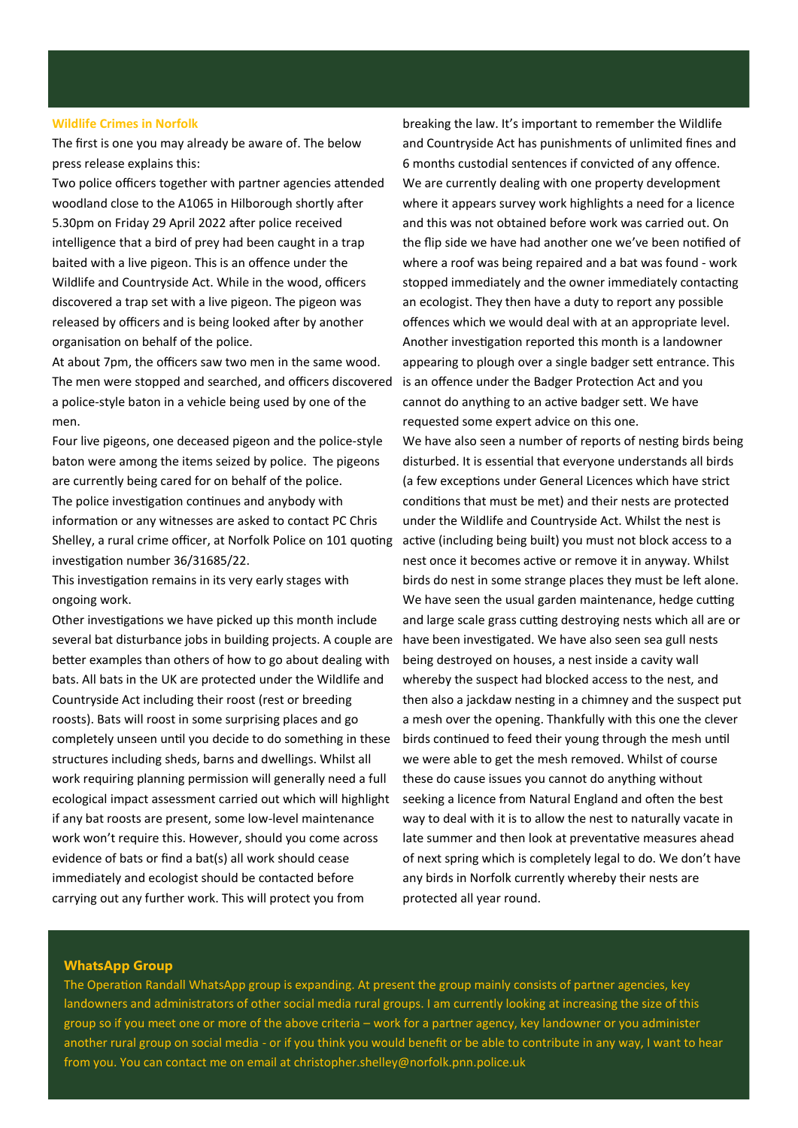#### **Wildlife Crimes in Norfolk**

The first is one you may already be aware of. The below press release explains this:

Two police officers together with partner agencies attended woodland close to the A1065 in Hilborough shortly after 5.30pm on Friday 29 April 2022 after police received intelligence that a bird of prey had been caught in a trap baited with a live pigeon. This is an offence under the Wildlife and Countryside Act. While in the wood, officers discovered a trap set with a live pigeon. The pigeon was released by officers and is being looked after by another organisation on behalf of the police.

At about 7pm, the officers saw two men in the same wood. The men were stopped and searched, and officers discovered a police-style baton in a vehicle being used by one of the men.

Four live pigeons, one deceased pigeon and the police-style baton were among the items seized by police. The pigeons are currently being cared for on behalf of the police. The police investigation continues and anybody with information or any witnesses are asked to contact PC Chris Shelley, a rural crime officer, at Norfolk Police on 101 quoting investigation number 36/31685/22.

This investigation remains in its very early stages with ongoing work.

Other investigations we have picked up this month include several bat disturbance jobs in building projects. A couple are better examples than others of how to go about dealing with bats. All bats in the UK are protected under the Wildlife and Countryside Act including their roost (rest or breeding roosts). Bats will roost in some surprising places and go completely unseen until you decide to do something in these structures including sheds, barns and dwellings. Whilst all work requiring planning permission will generally need a full ecological impact assessment carried out which will highlight if any bat roosts are present, some low-level maintenance work won't require this. However, should you come across evidence of bats or find a bat(s) all work should cease immediately and ecologist should be contacted before carrying out any further work. This will protect you from

breaking the law. It's important to remember the Wildlife and Countryside Act has punishments of unlimited fines and 6 months custodial sentences if convicted of any offence. We are currently dealing with one property development where it appears survey work highlights a need for a licence and this was not obtained before work was carried out. On the flip side we have had another one we've been notified of where a roof was being repaired and a bat was found - work stopped immediately and the owner immediately contacting an ecologist. They then have a duty to report any possible offences which we would deal with at an appropriate level. Another investigation reported this month is a landowner appearing to plough over a single badger sett entrance. This is an offence under the Badger Protection Act and you cannot do anything to an active badger sett. We have requested some expert advice on this one.

We have also seen a number of reports of nesting birds being disturbed. It is essential that everyone understands all birds (a few exceptions under General Licences which have strict conditions that must be met) and their nests are protected under the Wildlife and Countryside Act. Whilst the nest is active (including being built) you must not block access to a nest once it becomes active or remove it in anyway. Whilst birds do nest in some strange places they must be left alone. We have seen the usual garden maintenance, hedge cutting and large scale grass cutting destroying nests which all are or have been investigated. We have also seen sea gull nests being destroyed on houses, a nest inside a cavity wall whereby the suspect had blocked access to the nest, and then also a jackdaw nesting in a chimney and the suspect put a mesh over the opening. Thankfully with this one the clever birds continued to feed their young through the mesh until we were able to get the mesh removed. Whilst of course these do cause issues you cannot do anything without seeking a licence from Natural England and often the best way to deal with it is to allow the nest to naturally vacate in late summer and then look at preventative measures ahead of next spring which is completely legal to do. We don't have any birds in Norfolk currently whereby their nests are protected all year round.

#### **WhatsApp Group**

The Operation Randall WhatsApp group is expanding. At present the group mainly consists of partner agencies, key landowners and administrators of other social media rural groups. I am currently looking at increasing the size of this group so if you meet one or more of the above criteria – work for a partner agency, key landowner or you administer another rural group on social media - or if you think you would benefit or be able to contribute in any way, I want to hear from you. You can contact me on email at christopher.shelley@norfolk.pnn.police.uk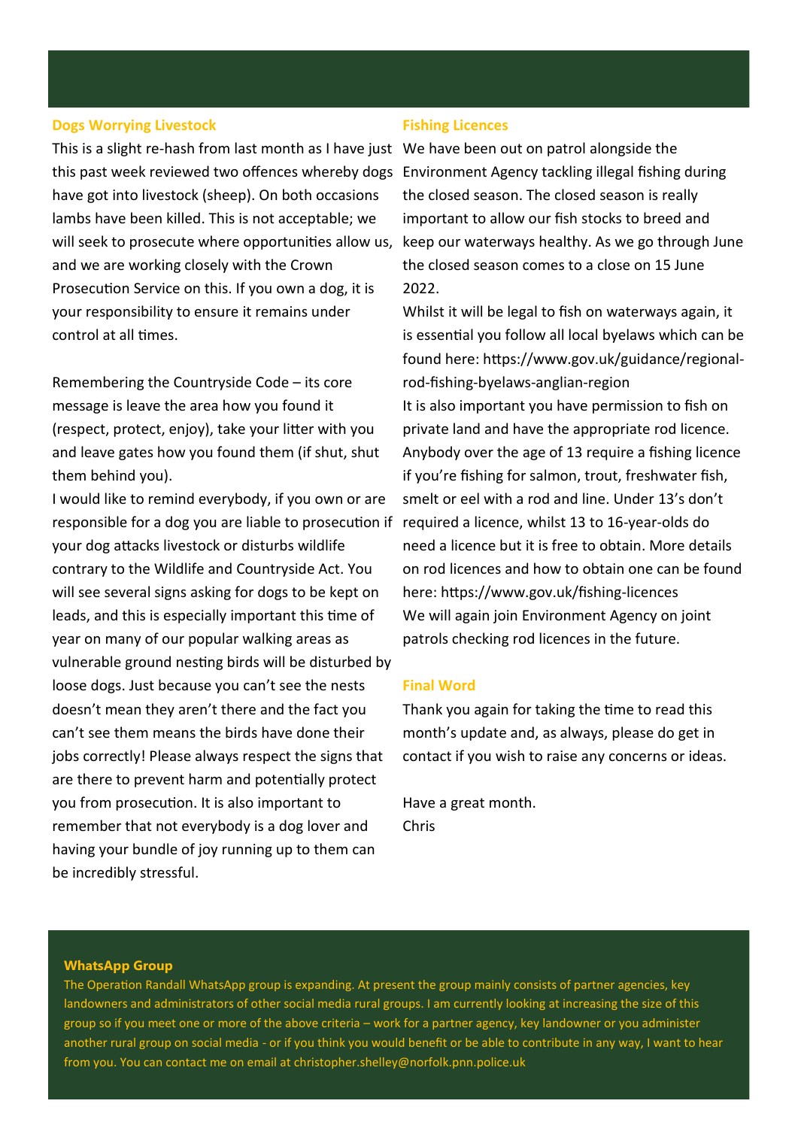## **Dogs Worrying Livestock**

This is a slight re-hash from last month as I have just We have been out on patrol alongside the this past week reviewed two offences whereby dogs Environment Agency tackling illegal fishing during have got into livestock (sheep). On both occasions lambs have been killed. This is not acceptable; we will seek to prosecute where opportunities allow us, and we are working closely with the Crown Prosecution Service on this. If you own a dog, it is your responsibility to ensure it remains under control at all times.

Remembering the Countryside Code – its core message is leave the area how you found it (respect, protect, enjoy), take your litter with you and leave gates how you found them (if shut, shut them behind you).

I would like to remind everybody, if you own or are responsible for a dog you are liable to prosecution if your dog attacks livestock or disturbs wildlife contrary to the Wildlife and Countryside Act. You will see several signs asking for dogs to be kept on leads, and this is especially important this time of year on many of our popular walking areas as vulnerable ground nesting birds will be disturbed by loose dogs. Just because you can't see the nests doesn't mean they aren't there and the fact you can't see them means the birds have done their jobs correctly! Please always respect the signs that are there to prevent harm and potentially protect you from prosecution. It is also important to remember that not everybody is a dog lover and having your bundle of joy running up to them can be incredibly stressful.

### **Fishing Licences**

the closed season. The closed season is really important to allow our fish stocks to breed and keep our waterways healthy. As we go through June the closed season comes to a close on 15 June 2022.

Whilst it will be legal to fish on waterways again, it is essential you follow all local byelaws which can be found here: https://www.gov.uk/guidance/regionalrod-fishing-byelaws-anglian-region It is also important you have permission to fish on

private land and have the appropriate rod licence. Anybody over the age of 13 require a fishing licence if you're fishing for salmon, trout, freshwater fish, smelt or eel with a rod and line. Under 13's don't required a licence, whilst 13 to 16-year-olds do need a licence but it is free to obtain. More details on rod licences and how to obtain one can be found here: https://www.gov.uk/fishing-licences We will again join Environment Agency on joint patrols checking rod licences in the future.

## **Final Word**

Thank you again for taking the time to read this month's update and, as always, please do get in contact if you wish to raise any concerns or ideas.

Have a great month. Chris

#### **WhatsApp Group**

The Operation Randall WhatsApp group is expanding. At present the group mainly consists of partner agencies, key landowners and administrators of other social media rural groups. I am currently looking at increasing the size of this group so if you meet one or more of the above criteria – work for a partner agency, key landowner or you administer another rural group on social media - or if you think you would benefit or be able to contribute in any way, I want to hear from you. You can contact me on email at christopher.shelley@norfolk.pnn.police.uk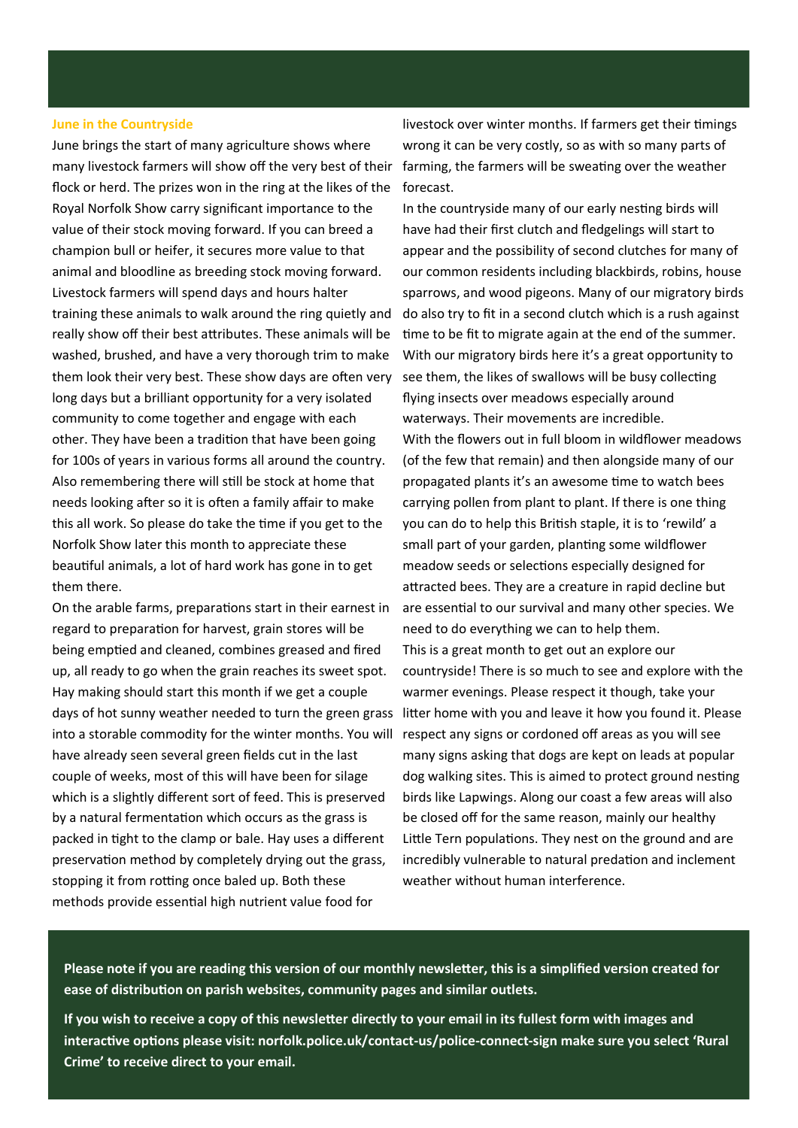#### **June in the Countryside**

June brings the start of many agriculture shows where many livestock farmers will show off the very best of their flock or herd. The prizes won in the ring at the likes of the Royal Norfolk Show carry significant importance to the value of their stock moving forward. If you can breed a champion bull or heifer, it secures more value to that animal and bloodline as breeding stock moving forward. Livestock farmers will spend days and hours halter training these animals to walk around the ring quietly and really show off their best attributes. These animals will be washed, brushed, and have a very thorough trim to make them look their very best. These show days are often very long days but a brilliant opportunity for a very isolated community to come together and engage with each other. They have been a tradition that have been going for 100s of years in various forms all around the country. Also remembering there will still be stock at home that needs looking after so it is often a family affair to make this all work. So please do take the time if you get to the Norfolk Show later this month to appreciate these beautiful animals, a lot of hard work has gone in to get them there.

On the arable farms, preparations start in their earnest in regard to preparation for harvest, grain stores will be being emptied and cleaned, combines greased and fired up, all ready to go when the grain reaches its sweet spot. Hay making should start this month if we get a couple days of hot sunny weather needed to turn the green grass litter home with you and leave it how you found it. Please into a storable commodity for the winter months. You will have already seen several green fields cut in the last couple of weeks, most of this will have been for silage which is a slightly different sort of feed. This is preserved by a natural fermentation which occurs as the grass is packed in tight to the clamp or bale. Hay uses a different preservation method by completely drying out the grass, stopping it from rotting once baled up. Both these methods provide essential high nutrient value food for

livestock over winter months. If farmers get their timings wrong it can be very costly, so as with so many parts of farming, the farmers will be sweating over the weather forecast.

In the countryside many of our early nesting birds will have had their first clutch and fledgelings will start to appear and the possibility of second clutches for many of our common residents including blackbirds, robins, house sparrows, and wood pigeons. Many of our migratory birds do also try to fit in a second clutch which is a rush against time to be fit to migrate again at the end of the summer. With our migratory birds here it's a great opportunity to see them, the likes of swallows will be busy collecting flying insects over meadows especially around waterways. Their movements are incredible. With the flowers out in full bloom in wildflower meadows (of the few that remain) and then alongside many of our propagated plants it's an awesome time to watch bees carrying pollen from plant to plant. If there is one thing you can do to help this British staple, it is to 'rewild' a small part of your garden, planting some wildflower meadow seeds or selections especially designed for attracted bees. They are a creature in rapid decline but are essential to our survival and many other species. We need to do everything we can to help them. This is a great month to get out an explore our countryside! There is so much to see and explore with the warmer evenings. Please respect it though, take your respect any signs or cordoned off areas as you will see many signs asking that dogs are kept on leads at popular dog walking sites. This is aimed to protect ground nesting birds like Lapwings. Along our coast a few areas will also be closed off for the same reason, mainly our healthy Little Tern populations. They nest on the ground and are incredibly vulnerable to natural predation and inclement weather without human interference.

**Please note if you are reading this version of our monthly newsletter, this is a simplified version created for ease of distribution on parish websites, community pages and similar outlets.** 

**If you wish to receive a copy of this newsletter directly to your email in its fullest form with images and interactive options please visit: norfolk.police.uk/contact-us/police-connect-sign make sure you select 'Rural Crime' to receive direct to your email.**